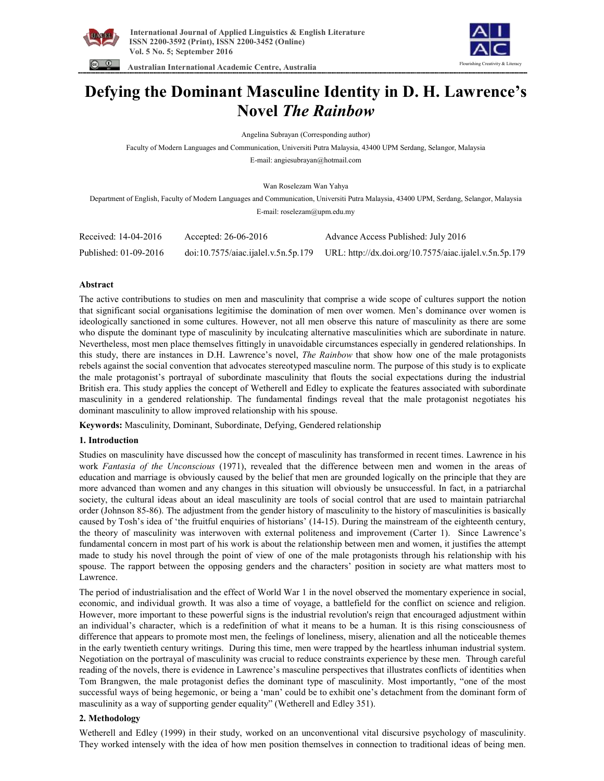





# **Defying the Dominant Masculine Identity in D. H. Lawrence's Novel** *The Rainbow*

Angelina Subrayan (Corresponding author)

Faculty of Modern Languages and Communication, Universiti Putra Malaysia, 43400 UPM Serdang, Selangor, Malaysia

E-mail: angiesubrayan@hotmail.com

Wan Roselezam Wan Yahya

Department of English, Faculty of Modern Languages and Communication, Universiti Putra Malaysia, 43400 UPM, Serdang, Selangor, Malaysia E-mail: roselezam@upm.edu.my

| Received: 14-04-2016  | Accepted: 26-06-2016 | Advance Access Published: July 2016                                                        |
|-----------------------|----------------------|--------------------------------------------------------------------------------------------|
| Published: 01-09-2016 |                      | doi:10.7575/aiac.ijalel.v.5n.5p.179 URL: http://dx.doi.org/10.7575/aiac.ijalel.v.5n.5p.179 |

# **Abstract**

The active contributions to studies on men and masculinity that comprise a wide scope of cultures support the notion that significant social organisations legitimise the domination of men over women. Men's dominance over women is ideologically sanctioned in some cultures. However, not all men observe this nature of masculinity as there are some who dispute the dominant type of masculinity by inculcating alternative masculinities which are subordinate in nature. Nevertheless, most men place themselves fittingly in unavoidable circumstances especially in gendered relationships. In this study, there are instances in D.H. Lawrence's novel, *The Rainbow* that show how one of the male protagonists rebels against the social convention that advocates stereotyped masculine norm. The purpose of this study is to explicate the male protagonist's portrayal of subordinate masculinity that flouts the social expectations during the industrial British era. This study applies the concept of Wetherell and Edley to explicate the features associated with subordinate masculinity in a gendered relationship. The fundamental findings reveal that the male protagonist negotiates his dominant masculinity to allow improved relationship with his spouse.

**Keywords:** Masculinity, Dominant, Subordinate, Defying, Gendered relationship

# **1. Introduction**

Studies on masculinity have discussed how the concept of masculinity has transformed in recent times. Lawrence in his work *Fantasia of the Unconscious* (1971), revealed that the difference between men and women in the areas of education and marriage is obviously caused by the belief that men are grounded logically on the principle that they are more advanced than women and any changes in this situation will obviously be unsuccessful. In fact, in a patriarchal society, the cultural ideas about an ideal masculinity are tools of social control that are used to maintain patriarchal order (Johnson 85-86). The adjustment from the gender history of masculinity to the history of masculinities is basically caused by Tosh's idea of 'the fruitful enquiries of historians' (14-15). During the mainstream of the eighteenth century, the theory of masculinity was interwoven with external politeness and improvement (Carter 1). Since Lawrence's fundamental concern in most part of his work is about the relationship between men and women, it justifies the attempt made to study his novel through the point of view of one of the male protagonists through his relationship with his spouse. The rapport between the opposing genders and the characters' position in society are what matters most to Lawrence.

The period of industrialisation and the effect of World War 1 in the novel observed the momentary experience in social, economic, and individual growth. It was also a time of voyage, a battlefield for the conflict on science and religion. However, more important to these powerful signs is the industrial revolution's reign that encouraged adjustment within an individual's character, which is a redefinition of what it means to be a human. It is this rising consciousness of difference that appears to promote most men, the feelings of loneliness, misery, alienation and all the noticeable themes in the early twentieth century writings. During this time, men were trapped by the heartless inhuman industrial system. Negotiation on the portrayal of masculinity was crucial to reduce constraints experience by these men. Through careful reading of the novels, there is evidence in Lawrence's masculine perspectives that illustrates conflicts of identities when Tom Brangwen, the male protagonist defies the dominant type of masculinity. Most importantly, "one of the most successful ways of being hegemonic, or being a 'man' could be to exhibit one's detachment from the dominant form of masculinity as a way of supporting gender equality" (Wetherell and Edley 351).

#### **2. Methodology**

Wetherell and Edley (1999) in their study, worked on an unconventional vital discursive psychology of masculinity. They worked intensely with the idea of how men position themselves in connection to traditional ideas of being men.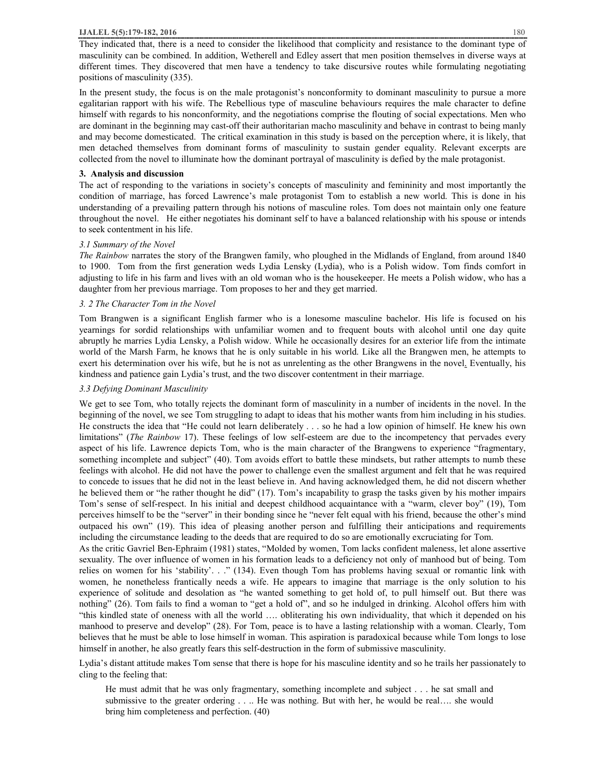#### **IJALEL 5(5):179-182, 2016** 180

In the present study, the focus is on the male protagonist's nonconformity to dominant masculinity to pursue a more egalitarian rapport with his wife. The Rebellious type of masculine behaviours requires the male character to define himself with regards to his nonconformity, and the negotiations comprise the flouting of social expectations. Men who are dominant in the beginning may cast-off their authoritarian macho masculinity and behave in contrast to being manly and may become domesticated. The critical examination in this study is based on the perception where, it is likely, that men detached themselves from dominant forms of masculinity to sustain gender equality. Relevant excerpts are collected from the novel to illuminate how the dominant portrayal of masculinity is defied by the male protagonist.

#### **3. Analysis and discussion**

The act of responding to the variations in society's concepts of masculinity and femininity and most importantly the condition of marriage, has forced Lawrence's male protagonist Tom to establish a new world. This is done in his understanding of a prevailing pattern through his notions of masculine roles. Tom does not maintain only one feature throughout the novel. He either negotiates his dominant self to have a balanced relationship with his spouse or intends to seek contentment in his life.

# *3.1 Summary of the Novel*

*The Rainbow* narrates the story of the Brangwen family, who ploughed in the Midlands of England, from around 1840 to 1900. Tom from the first generation weds Lydia Lensky (Lydia), who is a Polish widow. Tom finds comfort in adjusting to life in his farm and lives with an old woman who is the housekeeper. He meets a Polish widow, who has a daughter from her previous marriage. Tom proposes to her and they get married.

# *3. 2 The Character Tom in the Novel*

Tom Brangwen is a significant English farmer who is a lonesome masculine bachelor. His life is focused on his yearnings for sordid relationships with unfamiliar women and to frequent bouts with alcohol until one day quite abruptly he marries Lydia Lensky, a Polish widow. While he occasionally desires for an exterior life from the intimate world of the Marsh Farm, he knows that he is only suitable in his world. Like all the Brangwen men, he attempts to exert his determination over his wife, but he is not as unrelenting as the other Brangwens in the novel. Eventually, his kindness and patience gain Lydia's trust, and the two discover contentment in their marriage.

# *3.3 Defying Dominant Masculinity*

We get to see Tom, who totally rejects the dominant form of masculinity in a number of incidents in the novel. In the beginning of the novel, we see Tom struggling to adapt to ideas that his mother wants from him including in his studies. He constructs the idea that "He could not learn deliberately . . . so he had a low opinion of himself. He knew his own limitations" (*The Rainbow* 17). These feelings of low self-esteem are due to the incompetency that pervades every aspect of his life. Lawrence depicts Tom, who is the main character of the Brangwens to experience "fragmentary, something incomplete and subject" (40). Tom avoids effort to battle these mindsets, but rather attempts to numb these feelings with alcohol. He did not have the power to challenge even the smallest argument and felt that he was required to concede to issues that he did not in the least believe in. And having acknowledged them, he did not discern whether he believed them or "he rather thought he did" (17). Tom's incapability to grasp the tasks given by his mother impairs Tom's sense of self-respect. In his initial and deepest childhood acquaintance with a "warm, clever boy" (19), Tom perceives himself to be the "server" in their bonding since he "never felt equal with his friend, because the other's mind outpaced his own" (19). This idea of pleasing another person and fulfilling their anticipations and requirements including the circumstance leading to the deeds that are required to do so are emotionally excruciating for Tom.

As the critic Gavriel Ben-Ephraim (1981) states, "Molded by women, Tom lacks confident maleness, let alone assertive sexuality. The over influence of women in his formation leads to a deficiency not only of manhood but of being. Tom relies on women for his 'stability'. . ." (134). Even though Tom has problems having sexual or romantic link with women, he nonetheless frantically needs a wife. He appears to imagine that marriage is the only solution to his experience of solitude and desolation as "he wanted something to get hold of, to pull himself out. But there was nothing" (26). Tom fails to find a woman to "get a hold of", and so he indulged in drinking. Alcohol offers him with "this kindled state of oneness with all the world …. obliterating his own individuality, that which it depended on his manhood to preserve and develop" (28). For Tom, peace is to have a lasting relationship with a woman. Clearly, Tom believes that he must be able to lose himself in woman. This aspiration is paradoxical because while Tom longs to lose himself in another, he also greatly fears this self-destruction in the form of submissive masculinity.

Lydia's distant attitude makes Tom sense that there is hope for his masculine identity and so he trails her passionately to cling to the feeling that:

He must admit that he was only fragmentary, something incomplete and subject . . . he sat small and submissive to the greater ordering . . .. He was nothing. But with her, he would be real.... she would bring him completeness and perfection. (40)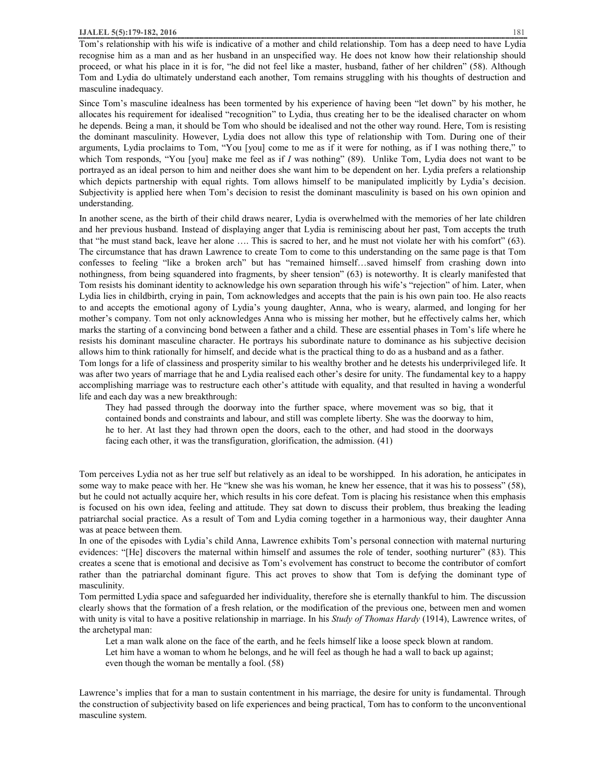Tom's relationship with his wife is indicative of a mother and child relationship. Tom has a deep need to have Lydia recognise him as a man and as her husband in an unspecified way. He does not know how their relationship should proceed, or what his place in it is for, "he did not feel like a master, husband, father of her children" (58). Although Tom and Lydia do ultimately understand each another, Tom remains struggling with his thoughts of destruction and masculine inadequacy.

Since Tom's masculine idealness has been tormented by his experience of having been "let down" by his mother, he allocates his requirement for idealised "recognition" to Lydia, thus creating her to be the idealised character on whom he depends. Being a man, it should be Tom who should be idealised and not the other way round. Here, Tom is resisting the dominant masculinity. However, Lydia does not allow this type of relationship with Tom. During one of their arguments, Lydia proclaims to Tom, "You [you] come to me as if it were for nothing, as if I was nothing there," to which Tom responds, "You [you] make me feel as if *I* was nothing" (89). Unlike Tom, Lydia does not want to be portrayed as an ideal person to him and neither does she want him to be dependent on her. Lydia prefers a relationship which depicts partnership with equal rights. Tom allows himself to be manipulated implicitly by Lydia's decision. Subjectivity is applied here when Tom's decision to resist the dominant masculinity is based on his own opinion and understanding.

In another scene, as the birth of their child draws nearer, Lydia is overwhelmed with the memories of her late children and her previous husband. Instead of displaying anger that Lydia is reminiscing about her past, Tom accepts the truth that "he must stand back, leave her alone …. This is sacred to her, and he must not violate her with his comfort" (63). The circumstance that has drawn Lawrence to create Tom to come to this understanding on the same page is that Tom confesses to feeling "like a broken arch" but has "remained himself…saved himself from crashing down into nothingness, from being squandered into fragments, by sheer tension" (63) is noteworthy. It is clearly manifested that Tom resists his dominant identity to acknowledge his own separation through his wife's "rejection" of him. Later, when Lydia lies in childbirth, crying in pain, Tom acknowledges and accepts that the pain is his own pain too. He also reacts to and accepts the emotional agony of Lydia's young daughter, Anna, who is weary, alarmed, and longing for her mother's company. Tom not only acknowledges Anna who is missing her mother, but he effectively calms her, which marks the starting of a convincing bond between a father and a child. These are essential phases in Tom's life where he resists his dominant masculine character. He portrays his subordinate nature to dominance as his subjective decision allows him to think rationally for himself, and decide what is the practical thing to do as a husband and as a father. Tom longs for a life of classiness and prosperity similar to his wealthy brother and he detests his underprivileged life. It was after two years of marriage that he and Lydia realised each other's desire for unity. The fundamental key to a happy accomplishing marriage was to restructure each other's attitude with equality, and that resulted in having a wonderful

life and each day was a new breakthrough:

They had passed through the doorway into the further space, where movement was so big, that it contained bonds and constraints and labour, and still was complete liberty. She was the doorway to him, he to her. At last they had thrown open the doors, each to the other, and had stood in the doorways facing each other, it was the transfiguration, glorification, the admission. (41)

Tom perceives Lydia not as her true self but relatively as an ideal to be worshipped. In his adoration, he anticipates in some way to make peace with her. He "knew she was his woman, he knew her essence, that it was his to possess" (58), but he could not actually acquire her, which results in his core defeat. Tom is placing his resistance when this emphasis is focused on his own idea, feeling and attitude. They sat down to discuss their problem, thus breaking the leading patriarchal social practice. As a result of Tom and Lydia coming together in a harmonious way, their daughter Anna was at peace between them.

In one of the episodes with Lydia's child Anna, Lawrence exhibits Tom's personal connection with maternal nurturing evidences: "[He] discovers the maternal within himself and assumes the role of tender, soothing nurturer" (83). This creates a scene that is emotional and decisive as Tom's evolvement has construct to become the contributor of comfort rather than the patriarchal dominant figure. This act proves to show that Tom is defying the dominant type of masculinity.

Tom permitted Lydia space and safeguarded her individuality, therefore she is eternally thankful to him. The discussion clearly shows that the formation of a fresh relation, or the modification of the previous one, between men and women with unity is vital to have a positive relationship in marriage. In his *Study of Thomas Hardy* (1914), Lawrence writes, of the archetypal man:

Let a man walk alone on the face of the earth, and he feels himself like a loose speck blown at random. Let him have a woman to whom he belongs, and he will feel as though he had a wall to back up against; even though the woman be mentally a fool. (58)

Lawrence's implies that for a man to sustain contentment in his marriage, the desire for unity is fundamental. Through the construction of subjectivity based on life experiences and being practical, Tom has to conform to the unconventional masculine system.